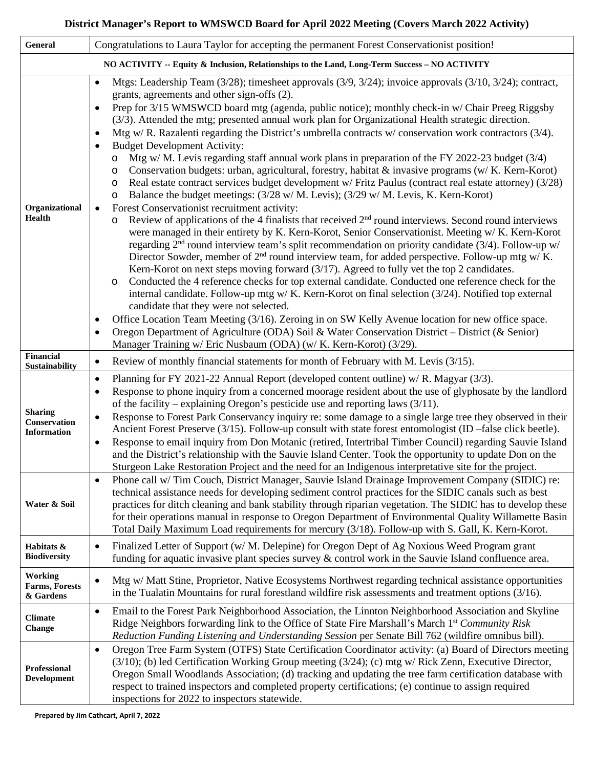### **District Manager's Report to WMSWCD Board for April 2022 Meeting (Covers March 2022 Activity)**

| General                                                                                       | Congratulations to Laura Taylor for accepting the permanent Forest Conservation ist position!                                                                                                                                                                                                                                                                                                                                                                                                                                                                                                                                                                                                                                                                                                                                                                                                                                                                                                                                                                                                                                                                                                                                                                                                                                                                                                                                                                                                                                                                                                                                                                                                                                                                                                                                                                                                                                                                                                                                                                                                                                                                          |  |
|-----------------------------------------------------------------------------------------------|------------------------------------------------------------------------------------------------------------------------------------------------------------------------------------------------------------------------------------------------------------------------------------------------------------------------------------------------------------------------------------------------------------------------------------------------------------------------------------------------------------------------------------------------------------------------------------------------------------------------------------------------------------------------------------------------------------------------------------------------------------------------------------------------------------------------------------------------------------------------------------------------------------------------------------------------------------------------------------------------------------------------------------------------------------------------------------------------------------------------------------------------------------------------------------------------------------------------------------------------------------------------------------------------------------------------------------------------------------------------------------------------------------------------------------------------------------------------------------------------------------------------------------------------------------------------------------------------------------------------------------------------------------------------------------------------------------------------------------------------------------------------------------------------------------------------------------------------------------------------------------------------------------------------------------------------------------------------------------------------------------------------------------------------------------------------------------------------------------------------------------------------------------------------|--|
| NO ACTIVITY -- Equity & Inclusion, Relationships to the Land, Long-Term Success - NO ACTIVITY |                                                                                                                                                                                                                                                                                                                                                                                                                                                                                                                                                                                                                                                                                                                                                                                                                                                                                                                                                                                                                                                                                                                                                                                                                                                                                                                                                                                                                                                                                                                                                                                                                                                                                                                                                                                                                                                                                                                                                                                                                                                                                                                                                                        |  |
| Organizational<br>Health                                                                      | Mtgs: Leadership Team $(3/28)$ ; timesheet approvals $(3/9, 3/24)$ ; invoice approvals $(3/10, 3/24)$ ; contract,<br>grants, agreements and other sign-offs (2).<br>Prep for 3/15 WMSWCD board mtg (agenda, public notice); monthly check-in w/ Chair Preeg Riggsby<br>$\bullet$<br>(3/3). Attended the mtg; presented annual work plan for Organizational Health strategic direction.<br>Mtg w/R. Razalenti regarding the District's umbrella contracts w/conservation work contractors $(3/4)$ .<br>$\bullet$<br><b>Budget Development Activity:</b><br>Mtg w/M. Levis regarding staff annual work plans in preparation of the FY 2022-23 budget $(3/4)$<br>O<br>Conservation budgets: urban, agricultural, forestry, habitat & invasive programs (w/ K. Kern-Korot)<br>O<br>Real estate contract services budget development w/ Fritz Paulus (contract real estate attorney) (3/28)<br>O<br>Balance the budget meetings: (3/28 w/ M. Levis); (3/29 w/ M. Levis, K. Kern-Korot)<br>O<br>Forest Conservationist recruitment activity:<br>$\bullet$<br>Review of applications of the 4 finalists that received $2nd$ round interviews. Second round interviews<br>$\circ$<br>were managed in their entirety by K. Kern-Korot, Senior Conservationist. Meeting w/ K. Kern-Korot<br>regarding $2nd$ round interview team's split recommendation on priority candidate (3/4). Follow-up w/<br>Director Sowder, member of 2 <sup>nd</sup> round interview team, for added perspective. Follow-up mtg w/ K.<br>Kern-Korot on next steps moving forward (3/17). Agreed to fully vet the top 2 candidates.<br>Conducted the 4 reference checks for top external candidate. Conducted one reference check for the<br>$\circ$<br>internal candidate. Follow-up mtg w/K. Kern-Korot on final selection $(3/24)$ . Notified top external<br>candidate that they were not selected.<br>Office Location Team Meeting (3/16). Zeroing in on SW Kelly Avenue location for new office space.<br>٠<br>Oregon Department of Agriculture (ODA) Soil & Water Conservation District - District (& Senior)<br>$\bullet$<br>Manager Training w/ Eric Nusbaum (ODA) (w/ K. Kern-Korot) (3/29). |  |
| <b>Financial</b><br>Sustainability                                                            | Review of monthly financial statements for month of February with M. Levis (3/15).<br>$\bullet$                                                                                                                                                                                                                                                                                                                                                                                                                                                                                                                                                                                                                                                                                                                                                                                                                                                                                                                                                                                                                                                                                                                                                                                                                                                                                                                                                                                                                                                                                                                                                                                                                                                                                                                                                                                                                                                                                                                                                                                                                                                                        |  |
| <b>Sharing</b><br>Conservation<br>Information                                                 | Planning for FY 2021-22 Annual Report (developed content outline) w/ R. Magyar (3/3).<br>$\bullet$<br>Response to phone inquiry from a concerned moorage resident about the use of glyphosate by the landlord<br>$\bullet$<br>of the facility – explaining Oregon's pesticide use and reporting laws $(3/11)$ .<br>Response to Forest Park Conservancy inquiry re: some damage to a single large tree they observed in their<br>$\bullet$<br>Ancient Forest Preserve (3/15). Follow-up consult with state forest entomologist (ID -false click beetle).<br>Response to email inquiry from Don Motanic (retired, Intertribal Timber Council) regarding Sauvie Island<br>$\bullet$<br>and the District's relationship with the Sauvie Island Center. Took the opportunity to update Don on the<br>Sturgeon Lake Restoration Project and the need for an Indigenous interpretative site for the project.                                                                                                                                                                                                                                                                                                                                                                                                                                                                                                                                                                                                                                                                                                                                                                                                                                                                                                                                                                                                                                                                                                                                                                                                                                                                  |  |
| Water & Soil                                                                                  | Phone call w/ Tim Couch, District Manager, Sauvie Island Drainage Improvement Company (SIDIC) re:<br>$\bullet$<br>technical assistance needs for developing sediment control practices for the SIDIC canals such as best<br>practices for ditch cleaning and bank stability through riparian vegetation. The SIDIC has to develop these<br>for their operations manual in response to Oregon Department of Environmental Quality Willamette Basin<br>Total Daily Maximum Load requirements for mercury (3/18). Follow-up with S. Gall, K. Kern-Korot.                                                                                                                                                                                                                                                                                                                                                                                                                                                                                                                                                                                                                                                                                                                                                                                                                                                                                                                                                                                                                                                                                                                                                                                                                                                                                                                                                                                                                                                                                                                                                                                                                  |  |
| Habitats &<br><b>Biodiversity</b>                                                             | Finalized Letter of Support (w/M. Delepine) for Oregon Dept of Ag Noxious Weed Program grant<br>$\bullet$<br>funding for aquatic invasive plant species survey $\&$ control work in the Sauvie Island confluence area.                                                                                                                                                                                                                                                                                                                                                                                                                                                                                                                                                                                                                                                                                                                                                                                                                                                                                                                                                                                                                                                                                                                                                                                                                                                                                                                                                                                                                                                                                                                                                                                                                                                                                                                                                                                                                                                                                                                                                 |  |
| <b>Working</b><br><b>Farms, Forests</b><br>& Gardens                                          | Mtg w/ Matt Stine, Proprietor, Native Ecosystems Northwest regarding technical assistance opportunities<br>$\bullet$<br>in the Tualatin Mountains for rural forestland wildfire risk assessments and treatment options $(3/16)$ .                                                                                                                                                                                                                                                                                                                                                                                                                                                                                                                                                                                                                                                                                                                                                                                                                                                                                                                                                                                                                                                                                                                                                                                                                                                                                                                                                                                                                                                                                                                                                                                                                                                                                                                                                                                                                                                                                                                                      |  |
| <b>Climate</b><br><b>Change</b>                                                               | Email to the Forest Park Neighborhood Association, the Linnton Neighborhood Association and Skyline<br>$\bullet$<br>Ridge Neighbors forwarding link to the Office of State Fire Marshall's March 1st Community Risk<br>Reduction Funding Listening and Understanding Session per Senate Bill 762 (wildfire omnibus bill).                                                                                                                                                                                                                                                                                                                                                                                                                                                                                                                                                                                                                                                                                                                                                                                                                                                                                                                                                                                                                                                                                                                                                                                                                                                                                                                                                                                                                                                                                                                                                                                                                                                                                                                                                                                                                                              |  |
| Professional<br><b>Development</b>                                                            | Oregon Tree Farm System (OTFS) State Certification Coordinator activity: (a) Board of Directors meeting<br>$\bullet$<br>(3/10); (b) led Certification Working Group meeting (3/24); (c) mtg w/ Rick Zenn, Executive Director,<br>Oregon Small Woodlands Association; (d) tracking and updating the tree farm certification database with<br>respect to trained inspectors and completed property certifications; (e) continue to assign required<br>inspections for 2022 to inspectors statewide.                                                                                                                                                                                                                                                                                                                                                                                                                                                                                                                                                                                                                                                                                                                                                                                                                                                                                                                                                                                                                                                                                                                                                                                                                                                                                                                                                                                                                                                                                                                                                                                                                                                                      |  |

**Prepared by Jim Cathcart, April 7, 2022**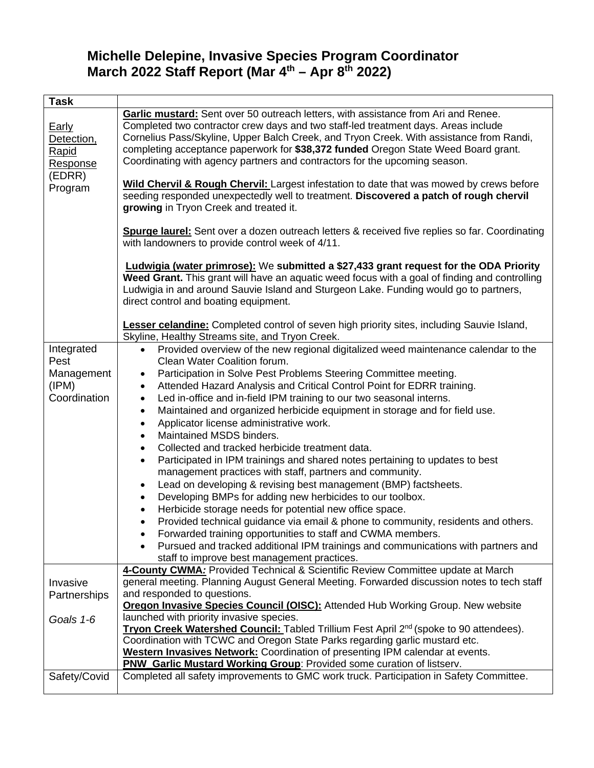## **Michelle Delepine, Invasive Species Program Coordinator March 2022 Staff Report (Mar 4th – Apr 8th 2022)**

| Task                                                                        |                                                                                                                                                                                                                                                                                                                                                                                                                                                                                                                                                                                                                                                                                                                                                                                                                                                                                                                                                                                                                                                                                                                                                                                                                                                                                                                        |
|-----------------------------------------------------------------------------|------------------------------------------------------------------------------------------------------------------------------------------------------------------------------------------------------------------------------------------------------------------------------------------------------------------------------------------------------------------------------------------------------------------------------------------------------------------------------------------------------------------------------------------------------------------------------------------------------------------------------------------------------------------------------------------------------------------------------------------------------------------------------------------------------------------------------------------------------------------------------------------------------------------------------------------------------------------------------------------------------------------------------------------------------------------------------------------------------------------------------------------------------------------------------------------------------------------------------------------------------------------------------------------------------------------------|
| <b>Early</b><br>Detection,<br><b>Rapid</b><br>Response<br>(EDRR)<br>Program | Garlic mustard: Sent over 50 outreach letters, with assistance from Ari and Renee.<br>Completed two contractor crew days and two staff-led treatment days. Areas include<br>Cornelius Pass/Skyline, Upper Balch Creek, and Tryon Creek. With assistance from Randi,<br>completing acceptance paperwork for \$38,372 funded Oregon State Weed Board grant.<br>Coordinating with agency partners and contractors for the upcoming season.                                                                                                                                                                                                                                                                                                                                                                                                                                                                                                                                                                                                                                                                                                                                                                                                                                                                                |
|                                                                             | Wild Chervil & Rough Chervil: Largest infestation to date that was mowed by crews before<br>seeding responded unexpectedly well to treatment. Discovered a patch of rough chervil<br>growing in Tryon Creek and treated it.                                                                                                                                                                                                                                                                                                                                                                                                                                                                                                                                                                                                                                                                                                                                                                                                                                                                                                                                                                                                                                                                                            |
|                                                                             | Spurge laurel: Sent over a dozen outreach letters & received five replies so far. Coordinating<br>with landowners to provide control week of 4/11.                                                                                                                                                                                                                                                                                                                                                                                                                                                                                                                                                                                                                                                                                                                                                                                                                                                                                                                                                                                                                                                                                                                                                                     |
|                                                                             | <b>Ludwigia (water primrose):</b> We submitted a \$27,433 grant request for the ODA Priority<br>Weed Grant. This grant will have an aquatic weed focus with a goal of finding and controlling<br>Ludwigia in and around Sauvie Island and Sturgeon Lake. Funding would go to partners,<br>direct control and boating equipment.<br>Lesser celandine: Completed control of seven high priority sites, including Sauvie Island,                                                                                                                                                                                                                                                                                                                                                                                                                                                                                                                                                                                                                                                                                                                                                                                                                                                                                          |
|                                                                             | Skyline, Healthy Streams site, and Tryon Creek.                                                                                                                                                                                                                                                                                                                                                                                                                                                                                                                                                                                                                                                                                                                                                                                                                                                                                                                                                                                                                                                                                                                                                                                                                                                                        |
| Integrated<br>Pest<br>Management<br>(IPM)<br>Coordination                   | Provided overview of the new regional digitalized weed maintenance calendar to the<br>$\bullet$<br>Clean Water Coalition forum.<br>Participation in Solve Pest Problems Steering Committee meeting.<br>٠<br>Attended Hazard Analysis and Critical Control Point for EDRR training.<br>$\bullet$<br>Led in-office and in-field IPM training to our two seasonal interns.<br>$\bullet$<br>Maintained and organized herbicide equipment in storage and for field use.<br>$\bullet$<br>Applicator license administrative work.<br>$\bullet$<br>Maintained MSDS binders.<br>$\bullet$<br>Collected and tracked herbicide treatment data.<br>$\bullet$<br>Participated in IPM trainings and shared notes pertaining to updates to best<br>$\bullet$<br>management practices with staff, partners and community.<br>Lead on developing & revising best management (BMP) factsheets.<br>Developing BMPs for adding new herbicides to our toolbox.<br>$\bullet$<br>Herbicide storage needs for potential new office space.<br>Provided technical guidance via email & phone to community, residents and others.<br>$\bullet$<br>Forwarded training opportunities to staff and CWMA members.<br>Pursued and tracked additional IPM trainings and communications with partners and<br>staff to improve best management practices. |
| Invasive<br>Partnerships                                                    | 4-County CWMA: Provided Technical & Scientific Review Committee update at March<br>general meeting. Planning August General Meeting. Forwarded discussion notes to tech staff<br>and responded to questions.<br><b>Oregon Invasive Species Council (OISC):</b> Attended Hub Working Group. New website                                                                                                                                                                                                                                                                                                                                                                                                                                                                                                                                                                                                                                                                                                                                                                                                                                                                                                                                                                                                                 |
| Goals 1-6                                                                   | launched with priority invasive species.<br>Tryon Creek Watershed Council: Tabled Trillium Fest April 2nd (spoke to 90 attendees).<br>Coordination with TCWC and Oregon State Parks regarding garlic mustard etc.<br>Western Invasives Network: Coordination of presenting IPM calendar at events.                                                                                                                                                                                                                                                                                                                                                                                                                                                                                                                                                                                                                                                                                                                                                                                                                                                                                                                                                                                                                     |
|                                                                             | PNW_Garlic Mustard Working Group: Provided some curation of listserv.                                                                                                                                                                                                                                                                                                                                                                                                                                                                                                                                                                                                                                                                                                                                                                                                                                                                                                                                                                                                                                                                                                                                                                                                                                                  |
| Safety/Covid                                                                | Completed all safety improvements to GMC work truck. Participation in Safety Committee.                                                                                                                                                                                                                                                                                                                                                                                                                                                                                                                                                                                                                                                                                                                                                                                                                                                                                                                                                                                                                                                                                                                                                                                                                                |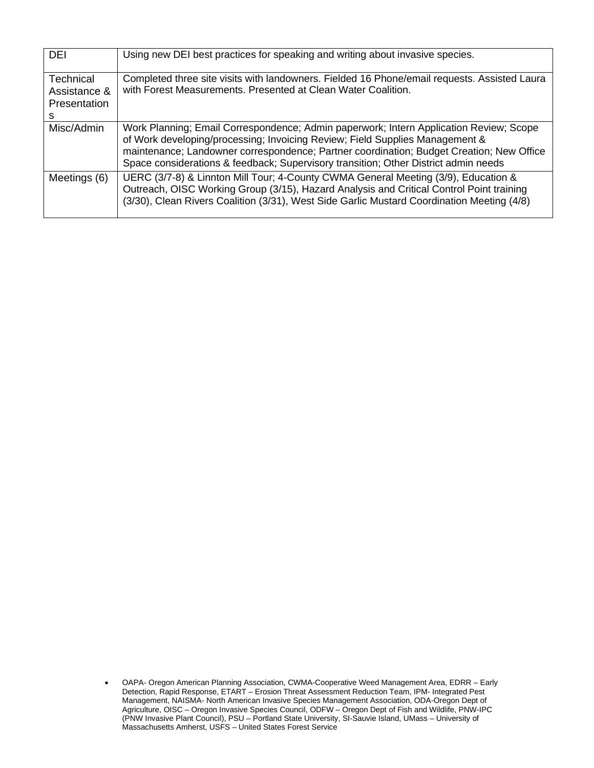| <b>DEI</b>                                                   | Using new DEI best practices for speaking and writing about invasive species.                                                                                                                                                                                                                                                                             |
|--------------------------------------------------------------|-----------------------------------------------------------------------------------------------------------------------------------------------------------------------------------------------------------------------------------------------------------------------------------------------------------------------------------------------------------|
| <b>Technical</b><br>Assistance &<br><b>Presentation</b><br>s | Completed three site visits with landowners. Fielded 16 Phone/email requests. Assisted Laura<br>with Forest Measurements. Presented at Clean Water Coalition.                                                                                                                                                                                             |
| Misc/Admin                                                   | Work Planning; Email Correspondence; Admin paperwork; Intern Application Review; Scope<br>of Work developing/processing; Invoicing Review; Field Supplies Management &<br>maintenance; Landowner correspondence; Partner coordination; Budget Creation; New Office<br>Space considerations & feedback; Supervisory transition; Other District admin needs |
| Meetings (6)                                                 | UERC (3/7-8) & Linnton Mill Tour; 4-County CWMA General Meeting (3/9), Education &<br>Outreach, OISC Working Group (3/15), Hazard Analysis and Critical Control Point training<br>(3/30), Clean Rivers Coalition (3/31), West Side Garlic Mustard Coordination Meeting (4/8)                                                                              |

<sup>•</sup> OAPA- Oregon American Planning Association, CWMA-Cooperative Weed Management Area, EDRR – Early Detection, Rapid Response, ETART – Erosion Threat Assessment Reduction Team, IPM- Integrated Pest Management, NAISMA- North American Invasive Species Management Association, ODA-Oregon Dept of Agriculture, OISC – Oregon Invasive Species Council, ODFW – Oregon Dept of Fish and Wildlife, PNW-IPC (PNW Invasive Plant Council), PSU – Portland State University, SI-Sauvie Island, UMass – University of Massachusetts Amherst, USFS – United States Forest Service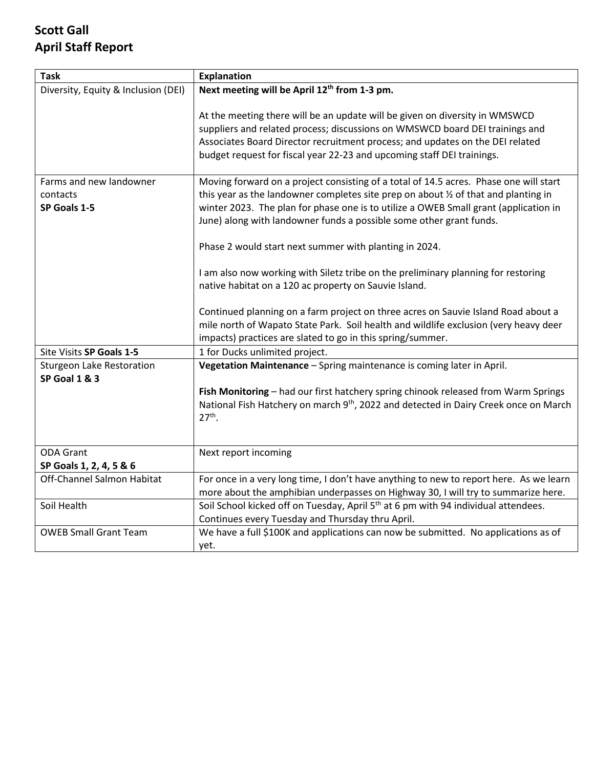# **Scott Gall April Staff Report**

| <b>Task</b>                                         | <b>Explanation</b>                                                                                                                                                                                                                                                                                                                                                                                    |
|-----------------------------------------------------|-------------------------------------------------------------------------------------------------------------------------------------------------------------------------------------------------------------------------------------------------------------------------------------------------------------------------------------------------------------------------------------------------------|
| Diversity, Equity & Inclusion (DEI)                 | Next meeting will be April 12 <sup>th</sup> from 1-3 pm.                                                                                                                                                                                                                                                                                                                                              |
|                                                     | At the meeting there will be an update will be given on diversity in WMSWCD<br>suppliers and related process; discussions on WMSWCD board DEI trainings and<br>Associates Board Director recruitment process; and updates on the DEI related<br>budget request for fiscal year 22-23 and upcoming staff DEI trainings.                                                                                |
| Farms and new landowner<br>contacts<br>SP Goals 1-5 | Moving forward on a project consisting of a total of 14.5 acres. Phase one will start<br>this year as the landowner completes site prep on about 1/2 of that and planting in<br>winter 2023. The plan for phase one is to utilize a OWEB Small grant (application in<br>June) along with landowner funds a possible some other grant funds.<br>Phase 2 would start next summer with planting in 2024. |
|                                                     | I am also now working with Siletz tribe on the preliminary planning for restoring<br>native habitat on a 120 ac property on Sauvie Island.<br>Continued planning on a farm project on three acres on Sauvie Island Road about a<br>mile north of Wapato State Park. Soil health and wildlife exclusion (very heavy deer<br>impacts) practices are slated to go in this spring/summer.                 |
| Site Visits SP Goals 1-5                            | 1 for Ducks unlimited project.                                                                                                                                                                                                                                                                                                                                                                        |
| <b>Sturgeon Lake Restoration</b><br>SP Goal 1 & 3   | Vegetation Maintenance - Spring maintenance is coming later in April.<br>Fish Monitoring - had our first hatchery spring chinook released from Warm Springs<br>National Fish Hatchery on march 9 <sup>th</sup> , 2022 and detected in Dairy Creek once on March<br>$27th$ .                                                                                                                           |
| <b>ODA Grant</b>                                    | Next report incoming                                                                                                                                                                                                                                                                                                                                                                                  |
| SP Goals 1, 2, 4, 5 & 6                             |                                                                                                                                                                                                                                                                                                                                                                                                       |
| Off-Channel Salmon Habitat                          | For once in a very long time, I don't have anything to new to report here. As we learn<br>more about the amphibian underpasses on Highway 30, I will try to summarize here.                                                                                                                                                                                                                           |
| Soil Health                                         | Soil School kicked off on Tuesday, April 5 <sup>th</sup> at 6 pm with 94 individual attendees.<br>Continues every Tuesday and Thursday thru April.                                                                                                                                                                                                                                                    |
| <b>OWEB Small Grant Team</b>                        | We have a full \$100K and applications can now be submitted. No applications as of<br>yet.                                                                                                                                                                                                                                                                                                            |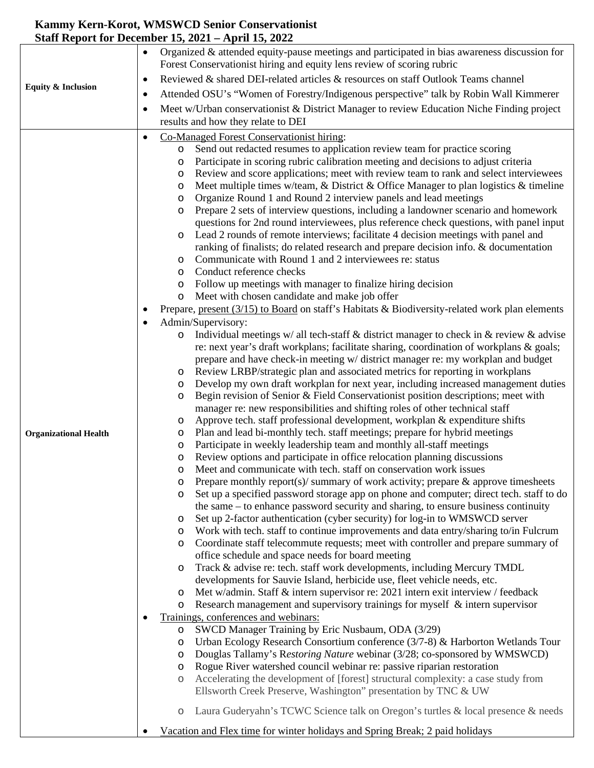### **Kammy Kern-Korot, WMSWCD Senior Conservationist Staff Report for December 15, 2021 – April 15, 2022**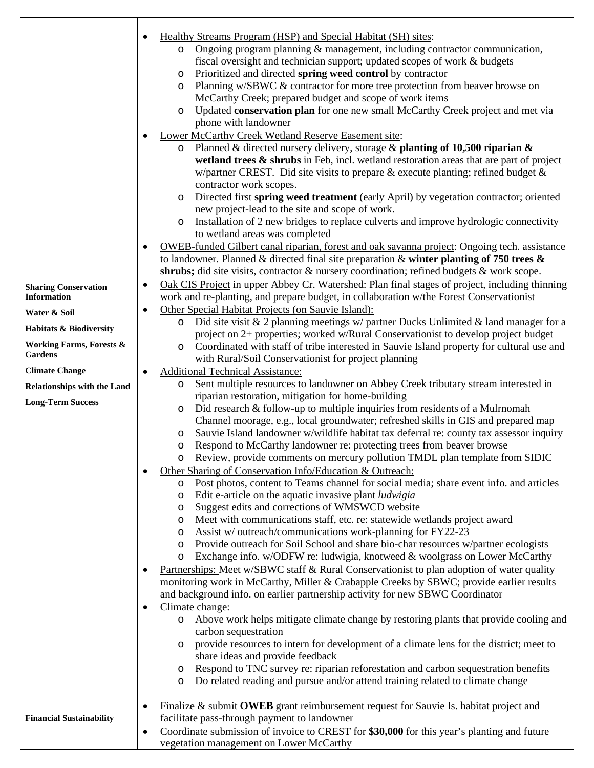| <b>Sharing Conservation</b><br><b>Information</b><br>Water & Soil<br>Habitats & Biodiversity<br><b>Working Farms, Forests &amp;</b><br>Gardens<br><b>Climate Change</b><br><b>Relationships with the Land</b><br><b>Long-Term Success</b> | Healthy Streams Program (HSP) and Special Habitat (SH) sites:<br>Ongoing program planning $\&$ management, including contractor communication,<br>$\circ$<br>fiscal oversight and technician support; updated scopes of work & budgets<br>Prioritized and directed spring weed control by contractor<br>$\circ$<br>Planning w/SBWC & contractor for more tree protection from beaver browse on<br>$\circ$<br>McCarthy Creek; prepared budget and scope of work items<br>Updated conservation plan for one new small McCarthy Creek project and met via<br>$\circ$<br>phone with landowner<br>Lower McCarthy Creek Wetland Reserve Easement site:<br>Planned & directed nursery delivery, storage & planting of 10,500 riparian &<br>$\circ$<br>wetland trees & shrubs in Feb, incl. wetland restoration areas that are part of project<br>w/partner CREST. Did site visits to prepare $\&$ execute planting; refined budget $\&$<br>contractor work scopes.<br>Directed first spring weed treatment (early April) by vegetation contractor; oriented<br>$\circ$<br>new project-lead to the site and scope of work.<br>Installation of 2 new bridges to replace culverts and improve hydrologic connectivity<br>$\circ$<br>to wetland areas was completed<br><b>OWEB-funded Gilbert canal riparian, forest and oak savanna project: Ongoing tech.</b> assistance<br>to landowner. Planned & directed final site preparation & winter planting of 750 trees $\&$<br>shrubs; did site visits, contractor & nursery coordination; refined budgets & work scope.<br>Oak CIS Project in upper Abbey Cr. Watershed: Plan final stages of project, including thinning<br>work and re-planting, and prepare budget, in collaboration w/the Forest Conservationist<br>Other Special Habitat Projects (on Sauvie Island):<br>Did site visit & 2 planning meetings $w/$ partner Ducks Unlimited & land manager for a<br>O<br>project on 2+ properties; worked w/Rural Conservationist to develop project budget<br>Coordinated with staff of tribe interested in Sauvie Island property for cultural use and<br>$\circ$<br>with Rural/Soil Conservationist for project planning<br><b>Additional Technical Assistance:</b><br>Sent multiple resources to landowner on Abbey Creek tributary stream interested in<br>$\circ$<br>riparian restoration, mitigation for home-building<br>Did research & follow-up to multiple inquiries from residents of a Mulrnomah<br>$\circ$<br>Channel moorage, e.g., local groundwater; refreshed skills in GIS and prepared map<br>Sauvie Island landowner w/wildlife habitat tax deferral re: county tax assessor inquiry<br>$\circ$<br>Respond to McCarthy landowner re: protecting trees from beaver browse<br>$\circ$<br>Review, provide comments on mercury pollution TMDL plan template from SIDIC<br>Other Sharing of Conservation Info/Education & Outreach:<br>Post photos, content to Teams channel for social media; share event info. and articles<br>$\circ$<br>Edit e-article on the aquatic invasive plant <i>ludwigia</i><br>O<br>Suggest edits and corrections of WMSWCD website<br>O<br>Meet with communications staff, etc. re: statewide wetlands project award<br>$\circ$<br>Assist w/ outreach/communications work-planning for FY22-23<br>$\circ$<br>Provide outreach for Soil School and share bio-char resources w/partner ecologists<br>$\circ$ |
|-------------------------------------------------------------------------------------------------------------------------------------------------------------------------------------------------------------------------------------------|--------------------------------------------------------------------------------------------------------------------------------------------------------------------------------------------------------------------------------------------------------------------------------------------------------------------------------------------------------------------------------------------------------------------------------------------------------------------------------------------------------------------------------------------------------------------------------------------------------------------------------------------------------------------------------------------------------------------------------------------------------------------------------------------------------------------------------------------------------------------------------------------------------------------------------------------------------------------------------------------------------------------------------------------------------------------------------------------------------------------------------------------------------------------------------------------------------------------------------------------------------------------------------------------------------------------------------------------------------------------------------------------------------------------------------------------------------------------------------------------------------------------------------------------------------------------------------------------------------------------------------------------------------------------------------------------------------------------------------------------------------------------------------------------------------------------------------------------------------------------------------------------------------------------------------------------------------------------------------------------------------------------------------------------------------------------------------------------------------------------------------------------------------------------------------------------------------------------------------------------------------------------------------------------------------------------------------------------------------------------------------------------------------------------------------------------------------------------------------------------------------------------------------------------------------------------------------------------------------------------------------------------------------------------------------------------------------------------------------------------------------------------------------------------------------------------------------------------------------------------------------------------------------------------------------------------------------------------------------------------------------------------------------------------------------------------------------------------------------------------------------------------------------------------------------------------------------------------------------------------------------------------------------------------------------------------------------------------------------------------------------------------------|
|                                                                                                                                                                                                                                           | Exchange info. w/ODFW re: ludwigia, knotweed & woolgrass on Lower McCarthy<br>$\circ$<br>Partnerships: Meet w/SBWC staff & Rural Conservationist to plan adoption of water quality<br>monitoring work in McCarthy, Miller & Crabapple Creeks by SBWC; provide earlier results<br>and background info. on earlier partnership activity for new SBWC Coordinator<br>Climate change:<br>٠<br>Above work helps mitigate climate change by restoring plants that provide cooling and<br>O<br>carbon sequestration                                                                                                                                                                                                                                                                                                                                                                                                                                                                                                                                                                                                                                                                                                                                                                                                                                                                                                                                                                                                                                                                                                                                                                                                                                                                                                                                                                                                                                                                                                                                                                                                                                                                                                                                                                                                                                                                                                                                                                                                                                                                                                                                                                                                                                                                                                                                                                                                                                                                                                                                                                                                                                                                                                                                                                                                                                                                                     |
| <b>Financial Sustainability</b>                                                                                                                                                                                                           | provide resources to intern for development of a climate lens for the district; meet to<br>$\circ$<br>share ideas and provide feedback<br>Respond to TNC survey re: riparian reforestation and carbon sequestration benefits<br>O<br>Do related reading and pursue and/or attend training related to climate change<br>O<br>Finalize & submit OWEB grant reimbursement request for Sauvie Is. habitat project and<br>facilitate pass-through payment to landowner<br>Coordinate submission of invoice to CREST for \$30,000 for this year's planting and future<br>$\bullet$                                                                                                                                                                                                                                                                                                                                                                                                                                                                                                                                                                                                                                                                                                                                                                                                                                                                                                                                                                                                                                                                                                                                                                                                                                                                                                                                                                                                                                                                                                                                                                                                                                                                                                                                                                                                                                                                                                                                                                                                                                                                                                                                                                                                                                                                                                                                                                                                                                                                                                                                                                                                                                                                                                                                                                                                                     |
|                                                                                                                                                                                                                                           | vegetation management on Lower McCarthy                                                                                                                                                                                                                                                                                                                                                                                                                                                                                                                                                                                                                                                                                                                                                                                                                                                                                                                                                                                                                                                                                                                                                                                                                                                                                                                                                                                                                                                                                                                                                                                                                                                                                                                                                                                                                                                                                                                                                                                                                                                                                                                                                                                                                                                                                                                                                                                                                                                                                                                                                                                                                                                                                                                                                                                                                                                                                                                                                                                                                                                                                                                                                                                                                                                                                                                                                          |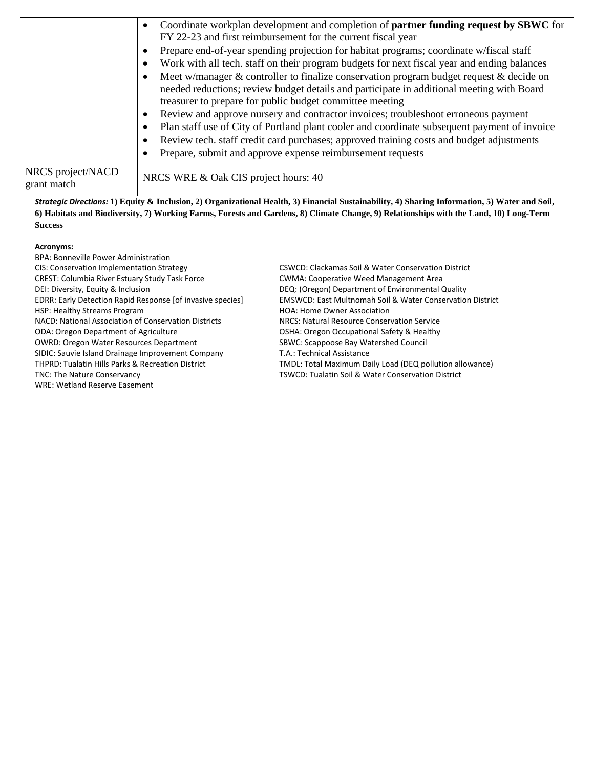|                                  | Coordinate workplan development and completion of <b>partner funding request by SBWC</b> for<br>FY 22-23 and first reimbursement for the current fiscal year                                                                                                                   |
|----------------------------------|--------------------------------------------------------------------------------------------------------------------------------------------------------------------------------------------------------------------------------------------------------------------------------|
|                                  | Prepare end-of-year spending projection for habitat programs; coordinate w/fiscal staff<br>Work with all tech. staff on their program budgets for next fiscal year and ending balances                                                                                         |
|                                  | Meet w/manager $\&$ controller to finalize conservation program budget request $\&$ decide on<br>needed reductions; review budget details and participate in additional meeting with Board<br>treasurer to prepare for public budget committee meeting                         |
|                                  | Review and approve nursery and contractor invoices; troubleshoot erroneous payment<br>Plan staff use of City of Portland plant cooler and coordinate subsequent payment of invoice<br>Review tech. staff credit card purchases; approved training costs and budget adjustments |
| NRCS project/NACD<br>grant match | Prepare, submit and approve expense reimbursement requests<br>NRCS WRE & Oak CIS project hours: 40                                                                                                                                                                             |

*Strategic Directions:* **1) Equity & Inclusion, 2) Organizational Health, 3) Financial Sustainability, 4) Sharing Information, 5) Water and Soil, 6) Habitats and Biodiversity, 7) Working Farms, Forests and Gardens, 8) Climate Change, 9) Relationships with the Land, 10) Long-Term Success** 

## **Acronyms:**

| BPA: Bonneville Power Administration                         |                                                                      |
|--------------------------------------------------------------|----------------------------------------------------------------------|
| CIS: Conservation Implementation Strategy                    | CSWCD: Clackamas Soil & Water Conservation District                  |
| <b>CREST: Columbia River Estuary Study Task Force</b>        | <b>CWMA: Cooperative Weed Management Area</b>                        |
| DEI: Diversity, Equity & Inclusion                           | DEQ: (Oregon) Department of Environmental Quality                    |
| EDRR: Early Detection Rapid Response [of invasive species]   | <b>EMSWCD: East Multnomah Soil &amp; Water Conservation District</b> |
| HSP: Healthy Streams Program                                 | <b>HOA: Home Owner Association</b>                                   |
| NACD: National Association of Conservation Districts         | NRCS: Natural Resource Conservation Service                          |
| <b>ODA: Oregon Department of Agriculture</b>                 | OSHA: Oregon Occupational Safety & Healthy                           |
| <b>OWRD: Oregon Water Resources Department</b>               | SBWC: Scappoose Bay Watershed Council                                |
| SIDIC: Sauvie Island Drainage Improvement Company            | T.A.: Technical Assistance                                           |
| <b>THPRD: Tualatin Hills Parks &amp; Recreation District</b> | TMDL: Total Maximum Daily Load (DEQ pollution allowance)             |
| TNC: The Nature Conservancy                                  | TSWCD: Tualatin Soil & Water Conservation District                   |
| WRE: Wetland Reserve Easement                                |                                                                      |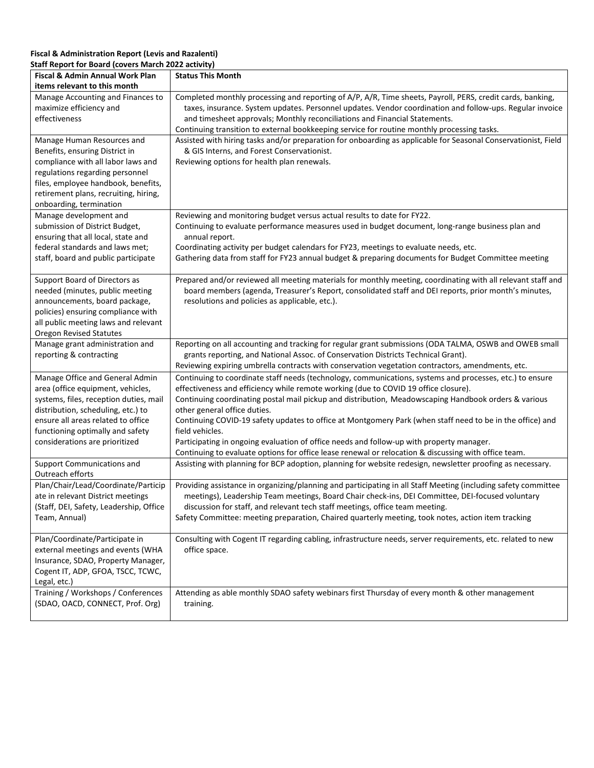#### **Fiscal & Administration Report (Levis and Razalenti) Staff Report for Board (covers March 2022 activity)**

| Fiscal & Admin Annual Work Plan                                                                                                                                                                                                                                            | <b>Status This Month</b>                                                                                                                                                                                                                                                                                                                                                                                                                                                                                                                                                                                                                                                    |
|----------------------------------------------------------------------------------------------------------------------------------------------------------------------------------------------------------------------------------------------------------------------------|-----------------------------------------------------------------------------------------------------------------------------------------------------------------------------------------------------------------------------------------------------------------------------------------------------------------------------------------------------------------------------------------------------------------------------------------------------------------------------------------------------------------------------------------------------------------------------------------------------------------------------------------------------------------------------|
| items relevant to this month                                                                                                                                                                                                                                               |                                                                                                                                                                                                                                                                                                                                                                                                                                                                                                                                                                                                                                                                             |
| Manage Accounting and Finances to<br>maximize efficiency and<br>effectiveness                                                                                                                                                                                              | Completed monthly processing and reporting of A/P, A/R, Time sheets, Payroll, PERS, credit cards, banking,<br>taxes, insurance. System updates. Personnel updates. Vendor coordination and follow-ups. Regular invoice<br>and timesheet approvals; Monthly reconciliations and Financial Statements.<br>Continuing transition to external bookkeeping service for routine monthly processing tasks.                                                                                                                                                                                                                                                                         |
| Manage Human Resources and<br>Benefits, ensuring District in<br>compliance with all labor laws and<br>regulations regarding personnel<br>files, employee handbook, benefits,<br>retirement plans, recruiting, hiring,<br>onboarding, termination<br>Manage development and | Assisted with hiring tasks and/or preparation for onboarding as applicable for Seasonal Conservationist, Field<br>& GIS Interns, and Forest Conservationist.<br>Reviewing options for health plan renewals.<br>Reviewing and monitoring budget versus actual results to date for FY22.                                                                                                                                                                                                                                                                                                                                                                                      |
| submission of District Budget,<br>ensuring that all local, state and<br>federal standards and laws met;<br>staff, board and public participate                                                                                                                             | Continuing to evaluate performance measures used in budget document, long-range business plan and<br>annual report.<br>Coordinating activity per budget calendars for FY23, meetings to evaluate needs, etc.<br>Gathering data from staff for FY23 annual budget & preparing documents for Budget Committee meeting                                                                                                                                                                                                                                                                                                                                                         |
| Support Board of Directors as<br>needed (minutes, public meeting<br>announcements, board package,<br>policies) ensuring compliance with<br>all public meeting laws and relevant<br><b>Oregon Revised Statutes</b>                                                          | Prepared and/or reviewed all meeting materials for monthly meeting, coordinating with all relevant staff and<br>board members (agenda, Treasurer's Report, consolidated staff and DEI reports, prior month's minutes,<br>resolutions and policies as applicable, etc.).                                                                                                                                                                                                                                                                                                                                                                                                     |
| Manage grant administration and<br>reporting & contracting                                                                                                                                                                                                                 | Reporting on all accounting and tracking for regular grant submissions (ODA TALMA, OSWB and OWEB small<br>grants reporting, and National Assoc. of Conservation Districts Technical Grant).<br>Reviewing expiring umbrella contracts with conservation vegetation contractors, amendments, etc.                                                                                                                                                                                                                                                                                                                                                                             |
| Manage Office and General Admin<br>area (office equipment, vehicles,<br>systems, files, reception duties, mail<br>distribution, scheduling, etc.) to<br>ensure all areas related to office<br>functioning optimally and safety<br>considerations are prioritized           | Continuing to coordinate staff needs (technology, communications, systems and processes, etc.) to ensure<br>effectiveness and efficiency while remote working (due to COVID 19 office closure).<br>Continuing coordinating postal mail pickup and distribution, Meadowscaping Handbook orders & various<br>other general office duties.<br>Continuing COVID-19 safety updates to office at Montgomery Park (when staff need to be in the office) and<br>field vehicles.<br>Participating in ongoing evaluation of office needs and follow-up with property manager.<br>Continuing to evaluate options for office lease renewal or relocation & discussing with office team. |
| Support Communications and<br>Outreach efforts                                                                                                                                                                                                                             | Assisting with planning for BCP adoption, planning for website redesign, newsletter proofing as necessary.                                                                                                                                                                                                                                                                                                                                                                                                                                                                                                                                                                  |
| Plan/Chair/Lead/Coordinate/Particip<br>ate in relevant District meetings<br>(Staff, DEI, Safety, Leadership, Office<br>Team, Annual)                                                                                                                                       | Providing assistance in organizing/planning and participating in all Staff Meeting (including safety committee<br>meetings), Leadership Team meetings, Board Chair check-ins, DEI Committee, DEI-focused voluntary<br>discussion for staff, and relevant tech staff meetings, office team meeting.<br>Safety Committee: meeting preparation, Chaired quarterly meeting, took notes, action item tracking                                                                                                                                                                                                                                                                    |
| Plan/Coordinate/Participate in<br>external meetings and events (WHA<br>Insurance, SDAO, Property Manager,<br>Cogent IT, ADP, GFOA, TSCC, TCWC,<br>Legal, etc.)                                                                                                             | Consulting with Cogent IT regarding cabling, infrastructure needs, server requirements, etc. related to new<br>office space.                                                                                                                                                                                                                                                                                                                                                                                                                                                                                                                                                |
| Training / Workshops / Conferences<br>(SDAO, OACD, CONNECT, Prof. Org)                                                                                                                                                                                                     | Attending as able monthly SDAO safety webinars first Thursday of every month & other management<br>training.                                                                                                                                                                                                                                                                                                                                                                                                                                                                                                                                                                |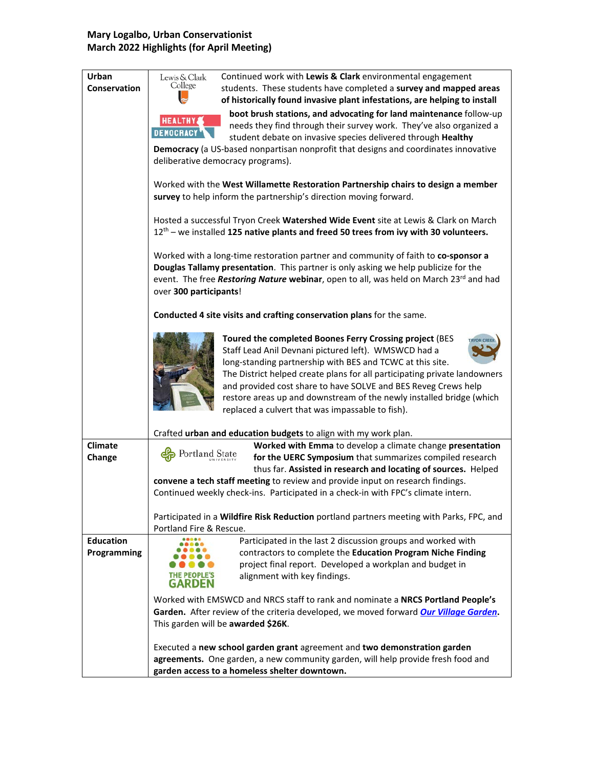#### **Mary Logalbo, Urban Conservationist March 2022 Highlights (for April Meeting)**

| Urban               | Lewis & Clark<br>Continued work with Lewis & Clark environmental engagement                       |
|---------------------|---------------------------------------------------------------------------------------------------|
| <b>Conservation</b> | College<br>students. These students have completed a survey and mapped areas                      |
|                     | of historically found invasive plant infestations, are helping to install                         |
|                     | boot brush stations, and advocating for land maintenance follow-up                                |
|                     | <b>HEALTHY</b><br>needs they find through their survey work. They've also organized a             |
|                     | <b>DEMOCRACY</b><br>student debate on invasive species delivered through Healthy                  |
|                     | Democracy (a US-based nonpartisan nonprofit that designs and coordinates innovative               |
|                     | deliberative democracy programs).                                                                 |
|                     |                                                                                                   |
|                     | Worked with the West Willamette Restoration Partnership chairs to design a member                 |
|                     | survey to help inform the partnership's direction moving forward.                                 |
|                     |                                                                                                   |
|                     | Hosted a successful Tryon Creek Watershed Wide Event site at Lewis & Clark on March               |
|                     | 12 <sup>th</sup> – we installed 125 native plants and freed 50 trees from ivy with 30 volunteers. |
|                     |                                                                                                   |
|                     | Worked with a long-time restoration partner and community of faith to co-sponsor a                |
|                     | Douglas Tallamy presentation. This partner is only asking we help publicize for the               |
|                     | event. The free Restoring Nature webinar, open to all, was held on March 23rd and had             |
|                     | over 300 participants!                                                                            |
|                     |                                                                                                   |
|                     | Conducted 4 site visits and crafting conservation plans for the same.                             |
|                     |                                                                                                   |
|                     | Toured the completed Boones Ferry Crossing project (BES                                           |
|                     | Staff Lead Anil Devnani pictured left). WMSWCD had a                                              |
|                     | long-standing partnership with BES and TCWC at this site.                                         |
|                     | The District helped create plans for all participating private landowners                         |
|                     | and provided cost share to have SOLVE and BES Reveg Crews help                                    |
|                     | restore areas up and downstream of the newly installed bridge (which                              |
|                     | replaced a culvert that was impassable to fish).                                                  |
|                     | Crafted urban and education budgets to align with my work plan.                                   |
| <b>Climate</b>      | Worked with Emma to develop a climate change presentation                                         |
| Change              | Portland State<br>for the UERC Symposium that summarizes compiled research                        |
|                     | thus far. Assisted in research and locating of sources. Helped                                    |
|                     | convene a tech staff meeting to review and provide input on research findings.                    |
|                     | Continued weekly check-ins. Participated in a check-in with FPC's climate intern.                 |
|                     |                                                                                                   |
|                     | Participated in a Wildfire Risk Reduction portland partners meeting with Parks, FPC, and          |
|                     | Portland Fire & Rescue.                                                                           |
| <b>Education</b>    | Participated in the last 2 discussion groups and worked with<br>.                                 |
| Programming         | contractors to complete the Education Program Niche Finding                                       |
|                     | project final report. Developed a workplan and budget in                                          |
|                     | alignment with key findings.<br>GARDEN                                                            |
|                     |                                                                                                   |
|                     | Worked with EMSWCD and NRCS staff to rank and nominate a NRCS Portland People's                   |
|                     | Garden. After review of the criteria developed, we moved forward Our Village Garden.              |
|                     | This garden will be awarded \$26K.                                                                |
|                     |                                                                                                   |
|                     | Executed a new school garden grant agreement and two demonstration garden                         |
|                     | agreements. One garden, a new community garden, will help provide fresh food and                  |
|                     | garden access to a homeless shelter downtown.                                                     |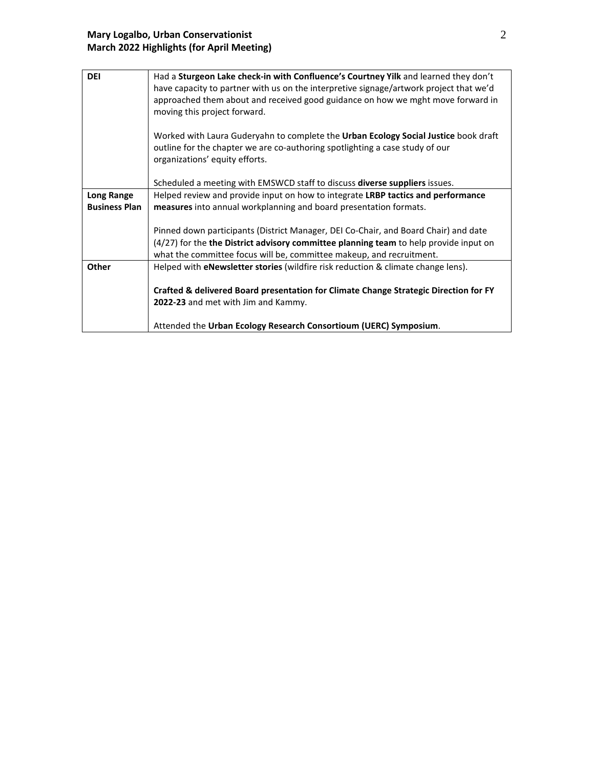| <b>DEI</b>           | Had a Sturgeon Lake check-in with Confluence's Courtney Yilk and learned they don't                                                                                                                   |  |
|----------------------|-------------------------------------------------------------------------------------------------------------------------------------------------------------------------------------------------------|--|
|                      | have capacity to partner with us on the interpretive signage/artwork project that we'd                                                                                                                |  |
|                      | approached them about and received good guidance on how we mght move forward in<br>moving this project forward.                                                                                       |  |
|                      | Worked with Laura Guderyahn to complete the Urban Ecology Social Justice book draft<br>outline for the chapter we are co-authoring spotlighting a case study of our<br>organizations' equity efforts. |  |
|                      | Scheduled a meeting with EMSWCD staff to discuss <b>diverse suppliers</b> issues.                                                                                                                     |  |
| <b>Long Range</b>    | Helped review and provide input on how to integrate LRBP tactics and performance                                                                                                                      |  |
| <b>Business Plan</b> | measures into annual workplanning and board presentation formats.                                                                                                                                     |  |
|                      |                                                                                                                                                                                                       |  |
|                      | Pinned down participants (District Manager, DEI Co-Chair, and Board Chair) and date                                                                                                                   |  |
|                      | (4/27) for the the District advisory committee planning team to help provide input on<br>what the committee focus will be, committee makeup, and recruitment.                                         |  |
| Other                | Helped with <b>eNewsletter stories</b> (wildfire risk reduction & climate change lens).                                                                                                               |  |
|                      |                                                                                                                                                                                                       |  |
|                      | Crafted & delivered Board presentation for Climate Change Strategic Direction for FY                                                                                                                  |  |
|                      | 2022-23 and met with Jim and Kammy.                                                                                                                                                                   |  |
|                      | Attended the Urban Ecology Research Consortioum (UERC) Symposium.                                                                                                                                     |  |
|                      |                                                                                                                                                                                                       |  |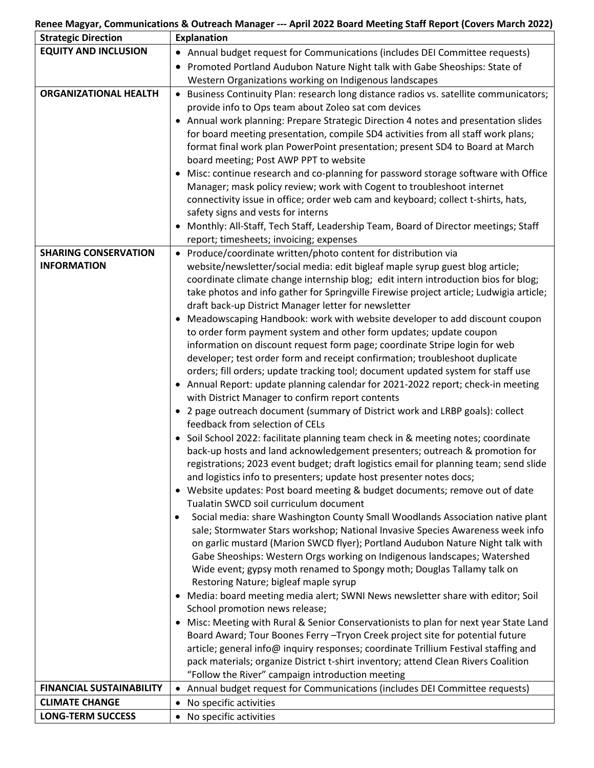#### **Renee Magyar, Communications & Outreach Manager --- April 2022 Board Meeting Staff Report (Covers March 2022)**

| <b>Strategic Direction</b>      | <b>Explanation</b>                                                                          |
|---------------------------------|---------------------------------------------------------------------------------------------|
| <b>EQUITY AND INCLUSION</b>     | • Annual budget request for Communications (includes DEI Committee requests)                |
|                                 | Promoted Portland Audubon Nature Night talk with Gabe Sheoships: State of                   |
|                                 | Western Organizations working on Indigenous landscapes                                      |
| <b>ORGANIZATIONAL HEALTH</b>    | • Business Continuity Plan: research long distance radios vs. satellite communicators;      |
|                                 | provide info to Ops team about Zoleo sat com devices                                        |
|                                 | Annual work planning: Prepare Strategic Direction 4 notes and presentation slides           |
|                                 | for board meeting presentation, compile SD4 activities from all staff work plans;           |
|                                 | format final work plan PowerPoint presentation; present SD4 to Board at March               |
|                                 | board meeting; Post AWP PPT to website                                                      |
|                                 | Misc: continue research and co-planning for password storage software with Office           |
|                                 | Manager; mask policy review; work with Cogent to troubleshoot internet                      |
|                                 | connectivity issue in office; order web cam and keyboard; collect t-shirts, hats,           |
|                                 | safety signs and vests for interns                                                          |
|                                 | Monthly: All-Staff, Tech Staff, Leadership Team, Board of Director meetings; Staff          |
|                                 | report; timesheets; invoicing; expenses                                                     |
| <b>SHARING CONSERVATION</b>     | • Produce/coordinate written/photo content for distribution via                             |
| <b>INFORMATION</b>              | website/newsletter/social media: edit bigleaf maple syrup guest blog article;               |
|                                 | coordinate climate change internship blog; edit intern introduction bios for blog;          |
|                                 | take photos and info gather for Springville Firewise project article; Ludwigia article;     |
|                                 | draft back-up District Manager letter for newsletter                                        |
|                                 | Meadowscaping Handbook: work with website developer to add discount coupon                  |
|                                 | to order form payment system and other form updates; update coupon                          |
|                                 | information on discount request form page; coordinate Stripe login for web                  |
|                                 | developer; test order form and receipt confirmation; troubleshoot duplicate                 |
|                                 | orders; fill orders; update tracking tool; document updated system for staff use            |
|                                 | Annual Report: update planning calendar for 2021-2022 report; check-in meeting              |
|                                 | with District Manager to confirm report contents                                            |
|                                 | • 2 page outreach document (summary of District work and LRBP goals): collect               |
|                                 | feedback from selection of CELs                                                             |
|                                 | • Soil School 2022: facilitate planning team check in & meeting notes; coordinate           |
|                                 | back-up hosts and land acknowledgement presenters; outreach & promotion for                 |
|                                 | registrations; 2023 event budget; draft logistics email for planning team; send slide       |
|                                 | and logistics info to presenters; update host presenter notes docs;                         |
|                                 | • Website updates: Post board meeting & budget documents; remove out of date                |
|                                 | Tualatin SWCD soil curriculum document                                                      |
|                                 | Social media: share Washington County Small Woodlands Association native plant<br>$\bullet$ |
|                                 | sale; Stormwater Stars workshop; National Invasive Species Awareness week info              |
|                                 | on garlic mustard (Marion SWCD flyer); Portland Audubon Nature Night talk with              |
|                                 | Gabe Sheoships: Western Orgs working on Indigenous landscapes; Watershed                    |
|                                 | Wide event; gypsy moth renamed to Spongy moth; Douglas Tallamy talk on                      |
|                                 | Restoring Nature; bigleaf maple syrup                                                       |
|                                 | Media: board meeting media alert; SWNI News newsletter share with editor; Soil              |
|                                 | School promotion news release;                                                              |
|                                 | Misc: Meeting with Rural & Senior Conservationists to plan for next year State Land         |
|                                 | Board Award; Tour Boones Ferry - Tryon Creek project site for potential future              |
|                                 | article; general info@ inquiry responses; coordinate Trillium Festival staffing and         |
|                                 | pack materials; organize District t-shirt inventory; attend Clean Rivers Coalition          |
|                                 | "Follow the River" campaign introduction meeting                                            |
| <b>FINANCIAL SUSTAINABILITY</b> | Annual budget request for Communications (includes DEI Committee requests)<br>$\bullet$     |
| <b>CLIMATE CHANGE</b>           | No specific activities<br>$\bullet$                                                         |
| <b>LONG-TERM SUCCESS</b>        | • No specific activities                                                                    |